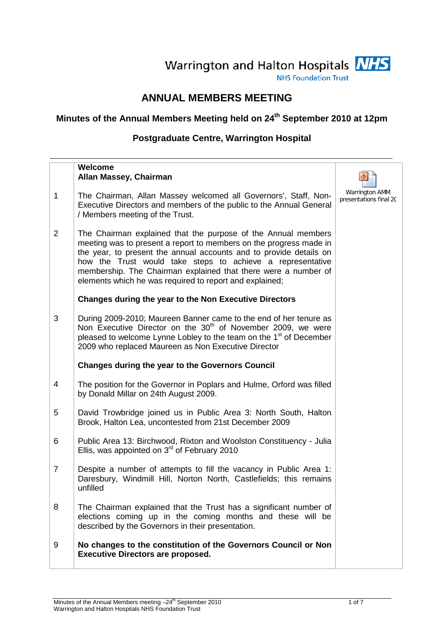# Warrington and Halton Hospitals NHS

**NHS Foundation Trust** 

## **ANNUAL MEMBERS MEETING**

# **Minutes of the Annual Members Meeting held on 24th September 2010 at 12pm**

## **Postgraduate Centre, Warrington Hospital**

|                | Welcome<br>Allan Massey, Chairman                                                                                                                                                                                                                                                                                                                                                                    |                                          |
|----------------|------------------------------------------------------------------------------------------------------------------------------------------------------------------------------------------------------------------------------------------------------------------------------------------------------------------------------------------------------------------------------------------------------|------------------------------------------|
| $\mathbf{1}$   | The Chairman, Allan Massey welcomed all Governors', Staff, Non-<br>Executive Directors and members of the public to the Annual General<br>/ Members meeting of the Trust.                                                                                                                                                                                                                            | Warrington AMM<br>presentations final 20 |
| 2              | The Chairman explained that the purpose of the Annual members<br>meeting was to present a report to members on the progress made in<br>the year, to present the annual accounts and to provide details on<br>how the Trust would take steps to achieve a representative<br>membership. The Chairman explained that there were a number of<br>elements which he was required to report and explained; |                                          |
|                | <b>Changes during the year to the Non Executive Directors</b>                                                                                                                                                                                                                                                                                                                                        |                                          |
| 3              | During 2009-2010; Maureen Banner came to the end of her tenure as<br>Non Executive Director on the 30 <sup>th</sup> of November 2009, we were<br>pleased to welcome Lynne Lobley to the team on the 1 <sup>st</sup> of December<br>2009 who replaced Maureen as Non Executive Director                                                                                                               |                                          |
|                | <b>Changes during the year to the Governors Council</b>                                                                                                                                                                                                                                                                                                                                              |                                          |
| 4              | The position for the Governor in Poplars and Hulme, Orford was filled<br>by Donald Millar on 24th August 2009.                                                                                                                                                                                                                                                                                       |                                          |
| 5              | David Trowbridge joined us in Public Area 3: North South, Halton<br>Brook, Halton Lea, uncontested from 21st December 2009                                                                                                                                                                                                                                                                           |                                          |
| 6              | Public Area 13: Birchwood, Rixton and Woolston Constituency - Julia<br>Ellis, was appointed on $3rd$ of February 2010                                                                                                                                                                                                                                                                                |                                          |
| $\overline{7}$ | Despite a number of attempts to fill the vacancy in Public Area 1:<br>Daresbury, Windmill Hill, Norton North, Castlefields; this remains<br>unfilled                                                                                                                                                                                                                                                 |                                          |
| 8              | The Chairman explained that the Trust has a significant number of<br>elections coming up in the coming months and these will be<br>described by the Governors in their presentation.                                                                                                                                                                                                                 |                                          |
| 9              | No changes to the constitution of the Governors Council or Non<br><b>Executive Directors are proposed.</b>                                                                                                                                                                                                                                                                                           |                                          |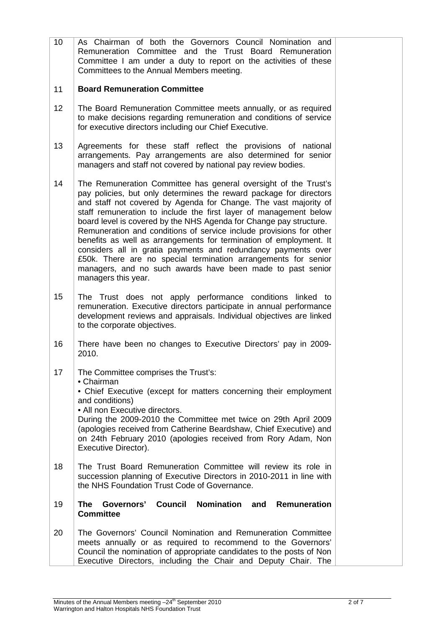| 10 | As Chairman of both the Governors Council Nomination and<br>Remuneration Committee and the Trust Board Remuneration<br>Committee I am under a duty to report on the activities of these<br>Committees to the Annual Members meeting.                                                                                                                                                                                                                                                                                                                                                                                                                                                                                      |  |
|----|---------------------------------------------------------------------------------------------------------------------------------------------------------------------------------------------------------------------------------------------------------------------------------------------------------------------------------------------------------------------------------------------------------------------------------------------------------------------------------------------------------------------------------------------------------------------------------------------------------------------------------------------------------------------------------------------------------------------------|--|
| 11 | <b>Board Remuneration Committee</b>                                                                                                                                                                                                                                                                                                                                                                                                                                                                                                                                                                                                                                                                                       |  |
| 12 | The Board Remuneration Committee meets annually, or as required<br>to make decisions regarding remuneration and conditions of service<br>for executive directors including our Chief Executive.                                                                                                                                                                                                                                                                                                                                                                                                                                                                                                                           |  |
| 13 | Agreements for these staff reflect the provisions of national<br>arrangements. Pay arrangements are also determined for senior<br>managers and staff not covered by national pay review bodies.                                                                                                                                                                                                                                                                                                                                                                                                                                                                                                                           |  |
| 14 | The Remuneration Committee has general oversight of the Trust's<br>pay policies, but only determines the reward package for directors<br>and staff not covered by Agenda for Change. The vast majority of<br>staff remuneration to include the first layer of management below<br>board level is covered by the NHS Agenda for Change pay structure.<br>Remuneration and conditions of service include provisions for other<br>benefits as well as arrangements for termination of employment. It<br>considers all in gratia payments and redundancy payments over<br>£50k. There are no special termination arrangements for senior<br>managers, and no such awards have been made to past senior<br>managers this year. |  |
| 15 | The Trust does not apply performance conditions linked to<br>remuneration. Executive directors participate in annual performance<br>development reviews and appraisals. Individual objectives are linked<br>to the corporate objectives.                                                                                                                                                                                                                                                                                                                                                                                                                                                                                  |  |
| 16 | There have been no changes to Executive Directors' pay in 2009-<br>2010.                                                                                                                                                                                                                                                                                                                                                                                                                                                                                                                                                                                                                                                  |  |
| 17 | The Committee comprises the Trust's:<br>• Chairman<br>• Chief Executive (except for matters concerning their employment<br>and conditions)<br>• All non Executive directors.<br>During the 2009-2010 the Committee met twice on 29th April 2009<br>(apologies received from Catherine Beardshaw, Chief Executive) and<br>on 24th February 2010 (apologies received from Rory Adam, Non<br>Executive Director).                                                                                                                                                                                                                                                                                                            |  |
| 18 | The Trust Board Remuneration Committee will review its role in<br>succession planning of Executive Directors in 2010-2011 in line with<br>the NHS Foundation Trust Code of Governance.                                                                                                                                                                                                                                                                                                                                                                                                                                                                                                                                    |  |
| 19 | <b>Governors' Council</b><br>Nomination and<br><b>The</b><br>Remuneration<br><b>Committee</b>                                                                                                                                                                                                                                                                                                                                                                                                                                                                                                                                                                                                                             |  |
| 20 | The Governors' Council Nomination and Remuneration Committee<br>meets annually or as required to recommend to the Governors'<br>Council the nomination of appropriate candidates to the posts of Non<br>Executive Directors, including the Chair and Deputy Chair. The                                                                                                                                                                                                                                                                                                                                                                                                                                                    |  |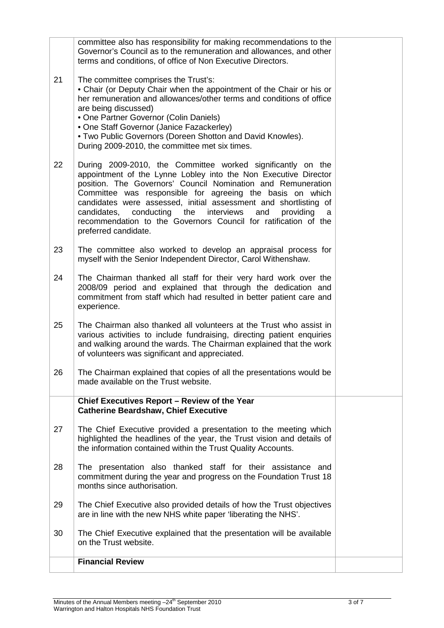|    | committee also has responsibility for making recommendations to the<br>Governor's Council as to the remuneration and allowances, and other<br>terms and conditions, of office of Non Executive Directors.                                                                                                                                                                                                                                                                                    |  |
|----|----------------------------------------------------------------------------------------------------------------------------------------------------------------------------------------------------------------------------------------------------------------------------------------------------------------------------------------------------------------------------------------------------------------------------------------------------------------------------------------------|--|
| 21 | The committee comprises the Trust's:<br>• Chair (or Deputy Chair when the appointment of the Chair or his or<br>her remuneration and allowances/other terms and conditions of office<br>are being discussed)<br>• One Partner Governor (Colin Daniels)<br>• One Staff Governor (Janice Fazackerley)<br>. Two Public Governors (Doreen Shotton and David Knowles).<br>During 2009-2010, the committee met six times.                                                                          |  |
| 22 | During 2009-2010, the Committee worked significantly on the<br>appointment of the Lynne Lobley into the Non Executive Director<br>position. The Governors' Council Nomination and Remuneration<br>Committee was responsible for agreeing the basis on which<br>candidates were assessed, initial assessment and shortlisting of<br>candidates, conducting the interviews<br>and<br>providing<br>a<br>recommendation to the Governors Council for ratification of the<br>preferred candidate. |  |
| 23 | The committee also worked to develop an appraisal process for<br>myself with the Senior Independent Director, Carol Withenshaw.                                                                                                                                                                                                                                                                                                                                                              |  |
| 24 | The Chairman thanked all staff for their very hard work over the<br>2008/09 period and explained that through the dedication and<br>commitment from staff which had resulted in better patient care and<br>experience.                                                                                                                                                                                                                                                                       |  |
| 25 | The Chairman also thanked all volunteers at the Trust who assist in<br>various activities to include fundraising, directing patient enquiries<br>and walking around the wards. The Chairman explained that the work<br>of volunteers was significant and appreciated.                                                                                                                                                                                                                        |  |
| 26 | The Chairman explained that copies of all the presentations would be<br>made available on the Trust website.                                                                                                                                                                                                                                                                                                                                                                                 |  |
|    | Chief Executives Report - Review of the Year<br><b>Catherine Beardshaw, Chief Executive</b>                                                                                                                                                                                                                                                                                                                                                                                                  |  |
| 27 | The Chief Executive provided a presentation to the meeting which<br>highlighted the headlines of the year, the Trust vision and details of<br>the information contained within the Trust Quality Accounts.                                                                                                                                                                                                                                                                                   |  |
| 28 | The presentation also thanked staff for their assistance and<br>commitment during the year and progress on the Foundation Trust 18<br>months since authorisation.                                                                                                                                                                                                                                                                                                                            |  |
| 29 | The Chief Executive also provided details of how the Trust objectives<br>are in line with the new NHS white paper 'liberating the NHS'.                                                                                                                                                                                                                                                                                                                                                      |  |
| 30 | The Chief Executive explained that the presentation will be available<br>on the Trust website.                                                                                                                                                                                                                                                                                                                                                                                               |  |
|    | <b>Financial Review</b>                                                                                                                                                                                                                                                                                                                                                                                                                                                                      |  |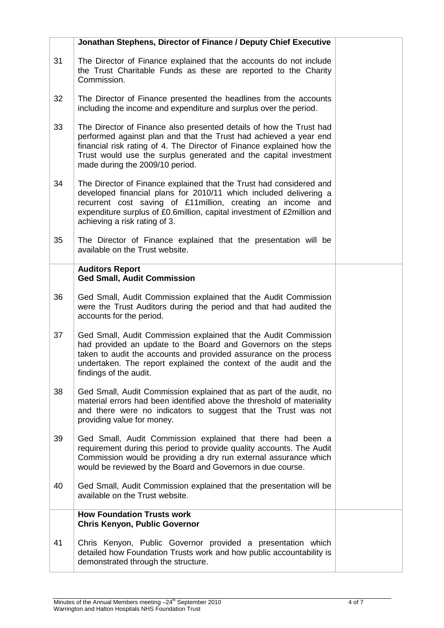|    | Jonathan Stephens, Director of Finance / Deputy Chief Executive                                                                                                                                                                                                                                                          |  |
|----|--------------------------------------------------------------------------------------------------------------------------------------------------------------------------------------------------------------------------------------------------------------------------------------------------------------------------|--|
| 31 | The Director of Finance explained that the accounts do not include<br>the Trust Charitable Funds as these are reported to the Charity<br>Commission.                                                                                                                                                                     |  |
| 32 | The Director of Finance presented the headlines from the accounts<br>including the income and expenditure and surplus over the period.                                                                                                                                                                                   |  |
| 33 | The Director of Finance also presented details of how the Trust had<br>performed against plan and that the Trust had achieved a year end<br>financial risk rating of 4. The Director of Finance explained how the<br>Trust would use the surplus generated and the capital investment<br>made during the 2009/10 period. |  |
| 34 | The Director of Finance explained that the Trust had considered and<br>developed financial plans for 2010/11 which included delivering a<br>recurrent cost saving of £11 million, creating an income and<br>expenditure surplus of £0.6million, capital investment of £2million and<br>achieving a risk rating of 3.     |  |
| 35 | The Director of Finance explained that the presentation will be<br>available on the Trust website.                                                                                                                                                                                                                       |  |
|    | <b>Auditors Report</b><br><b>Ged Small, Audit Commission</b>                                                                                                                                                                                                                                                             |  |
| 36 | Ged Small, Audit Commission explained that the Audit Commission<br>were the Trust Auditors during the period and that had audited the<br>accounts for the period.                                                                                                                                                        |  |
| 37 | Ged Small, Audit Commission explained that the Audit Commission<br>had provided an update to the Board and Governors on the steps<br>taken to audit the accounts and provided assurance on the process<br>undertaken. The report explained the context of the audit and the<br>findings of the audit.                    |  |
| 38 | Ged Small, Audit Commission explained that as part of the audit, no<br>material errors had been identified above the threshold of materiality<br>and there were no indicators to suggest that the Trust was not<br>providing value for money.                                                                            |  |
| 39 | Ged Small, Audit Commission explained that there had been a<br>requirement during this period to provide quality accounts. The Audit<br>Commission would be providing a dry run external assurance which<br>would be reviewed by the Board and Governors in due course.                                                  |  |
| 40 | Ged Small, Audit Commission explained that the presentation will be<br>available on the Trust website.                                                                                                                                                                                                                   |  |
|    | <b>How Foundation Trusts work</b><br><b>Chris Kenyon, Public Governor</b>                                                                                                                                                                                                                                                |  |
| 41 | Chris Kenyon, Public Governor provided a presentation which<br>detailed how Foundation Trusts work and how public accountability is<br>demonstrated through the structure.                                                                                                                                               |  |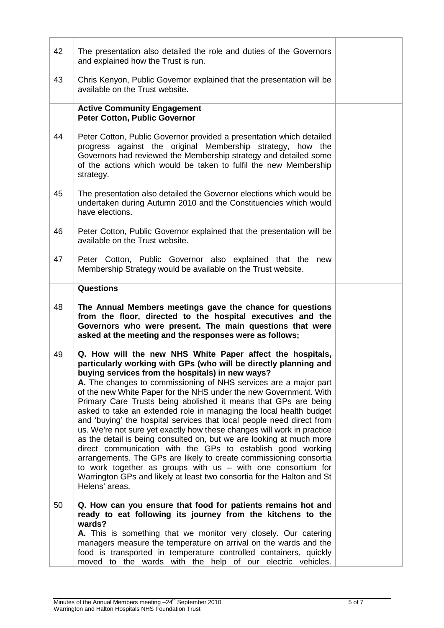| 42 | The presentation also detailed the role and duties of the Governors<br>and explained how the Trust is run.                                                                                                                                                                                                                                                                                                                                                                                                                                                                                                                                                                                                                                                                                                                                                                                                                                                                                        |  |
|----|---------------------------------------------------------------------------------------------------------------------------------------------------------------------------------------------------------------------------------------------------------------------------------------------------------------------------------------------------------------------------------------------------------------------------------------------------------------------------------------------------------------------------------------------------------------------------------------------------------------------------------------------------------------------------------------------------------------------------------------------------------------------------------------------------------------------------------------------------------------------------------------------------------------------------------------------------------------------------------------------------|--|
| 43 | Chris Kenyon, Public Governor explained that the presentation will be<br>available on the Trust website.                                                                                                                                                                                                                                                                                                                                                                                                                                                                                                                                                                                                                                                                                                                                                                                                                                                                                          |  |
|    | <b>Active Community Engagement</b><br><b>Peter Cotton, Public Governor</b>                                                                                                                                                                                                                                                                                                                                                                                                                                                                                                                                                                                                                                                                                                                                                                                                                                                                                                                        |  |
| 44 | Peter Cotton, Public Governor provided a presentation which detailed<br>progress against the original Membership strategy, how the<br>Governors had reviewed the Membership strategy and detailed some<br>of the actions which would be taken to fulfil the new Membership<br>strategy.                                                                                                                                                                                                                                                                                                                                                                                                                                                                                                                                                                                                                                                                                                           |  |
| 45 | The presentation also detailed the Governor elections which would be<br>undertaken during Autumn 2010 and the Constituencies which would<br>have elections.                                                                                                                                                                                                                                                                                                                                                                                                                                                                                                                                                                                                                                                                                                                                                                                                                                       |  |
| 46 | Peter Cotton, Public Governor explained that the presentation will be<br>available on the Trust website.                                                                                                                                                                                                                                                                                                                                                                                                                                                                                                                                                                                                                                                                                                                                                                                                                                                                                          |  |
| 47 | Peter Cotton, Public Governor also explained that the new<br>Membership Strategy would be available on the Trust website.                                                                                                                                                                                                                                                                                                                                                                                                                                                                                                                                                                                                                                                                                                                                                                                                                                                                         |  |
|    | <b>Questions</b>                                                                                                                                                                                                                                                                                                                                                                                                                                                                                                                                                                                                                                                                                                                                                                                                                                                                                                                                                                                  |  |
| 48 | The Annual Members meetings gave the chance for questions<br>from the floor, directed to the hospital executives and the<br>Governors who were present. The main questions that were<br>asked at the meeting and the responses were as follows;                                                                                                                                                                                                                                                                                                                                                                                                                                                                                                                                                                                                                                                                                                                                                   |  |
| 49 | Q. How will the new NHS White Paper affect the hospitals,<br>particularly working with GPs (who will be directly planning and<br>buying services from the hospitals) in new ways?<br>A. The changes to commissioning of NHS services are a major part<br>of the new White Paper for the NHS under the new Government. With<br>Primary Care Trusts being abolished it means that GPs are being<br>asked to take an extended role in managing the local health budget<br>and 'buying' the hospital services that local people need direct from<br>us. We're not sure yet exactly how these changes will work in practice<br>as the detail is being consulted on, but we are looking at much more<br>direct communication with the GPs to establish good working<br>arrangements. The GPs are likely to create commissioning consortia<br>to work together as groups with us $-$ with one consortium for<br>Warrington GPs and likely at least two consortia for the Halton and St<br>Helens' areas. |  |
| 50 | Q. How can you ensure that food for patients remains hot and<br>ready to eat following its journey from the kitchens to the<br>wards?<br>A. This is something that we monitor very closely. Our catering<br>managers measure the temperature on arrival on the wards and the<br>food is transported in temperature controlled containers, quickly<br>moved to the wards with the help of our electric vehicles.                                                                                                                                                                                                                                                                                                                                                                                                                                                                                                                                                                                   |  |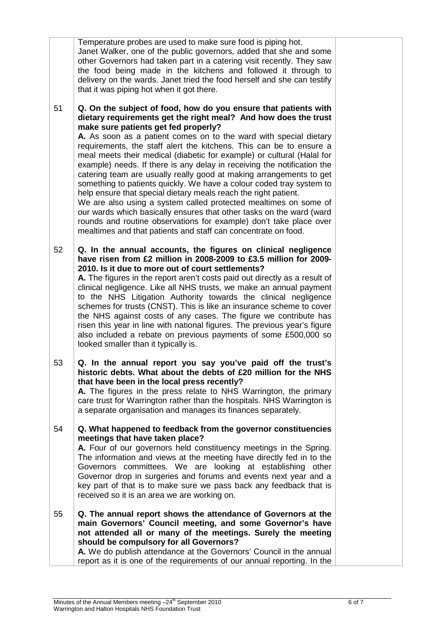|    | Janet Walker, one of the public governors, added that she and some<br>other Governors had taken part in a catering visit recently. They saw<br>the food being made in the kitchens and followed it through to<br>delivery on the wards. Janet tried the food herself and she can testify<br>that it was piping hot when it got there.                                                                                                                                                                                                                                                                                                                                                                                                                                                                                                                                                                                                                                             |
|----|-----------------------------------------------------------------------------------------------------------------------------------------------------------------------------------------------------------------------------------------------------------------------------------------------------------------------------------------------------------------------------------------------------------------------------------------------------------------------------------------------------------------------------------------------------------------------------------------------------------------------------------------------------------------------------------------------------------------------------------------------------------------------------------------------------------------------------------------------------------------------------------------------------------------------------------------------------------------------------------|
| 51 | Q. On the subject of food, how do you ensure that patients with<br>dietary requirements get the right meal? And how does the trust<br>make sure patients get fed properly?<br>A. As soon as a patient comes on to the ward with special dietary<br>requirements, the staff alert the kitchens. This can be to ensure a<br>meal meets their medical (diabetic for example) or cultural (Halal for<br>example) needs. If there is any delay in receiving the notification the<br>catering team are usually really good at making arrangements to get<br>something to patients quickly. We have a colour coded tray system to<br>help ensure that special dietary meals reach the right patient.<br>We are also using a system called protected mealtimes on some of<br>our wards which basically ensures that other tasks on the ward (ward<br>rounds and routine observations for example) don't take place over<br>mealtimes and that patients and staff can concentrate on food. |
| 52 | Q. In the annual accounts, the figures on clinical negligence<br>have risen from £2 million in 2008-2009 to £3.5 million for 2009-<br>2010. Is it due to more out of court settlements?<br>A. The figures in the report aren't costs paid out directly as a result of<br>clinical negligence. Like all NHS trusts, we make an annual payment<br>to the NHS Litigation Authority towards the clinical negligence<br>schemes for trusts (CNST). This is like an insurance scheme to cover<br>the NHS against costs of any cases. The figure we contribute has<br>risen this year in line with national figures. The previous year's figure<br>also included a rebate on previous payments of some £500,000 so<br>looked smaller than it typically is.                                                                                                                                                                                                                               |
| 53 | Q. In the annual report you say you've paid off the trust's<br>historic debts. What about the debts of £20 million for the NHS<br>that have been in the local press recently?<br>A. The figures in the press relate to NHS Warrington, the primary<br>care trust for Warrington rather than the hospitals. NHS Warrington is<br>a separate organisation and manages its finances separately.                                                                                                                                                                                                                                                                                                                                                                                                                                                                                                                                                                                      |
| 54 | Q. What happened to feedback from the governor constituencies<br>meetings that have taken place?<br>A. Four of our governors held constituency meetings in the Spring.<br>The information and views at the meeting have directly fed in to the<br>Governors committees. We are looking at establishing<br>other<br>Governor drop in surgeries and forums and events next year and a<br>key part of that is to make sure we pass back any feedback that is<br>received so it is an area we are working on.                                                                                                                                                                                                                                                                                                                                                                                                                                                                         |
| 55 | Q. The annual report shows the attendance of Governors at the<br>main Governors' Council meeting, and some Governor's have<br>not attended all or many of the meetings. Surely the meeting<br>should be compulsory for all Governors?<br>A. We do publish attendance at the Governors' Council in the annual<br>report as it is one of the requirements of our annual reporting. In the                                                                                                                                                                                                                                                                                                                                                                                                                                                                                                                                                                                           |

Temperature probes are used to make sure food is piping hot.